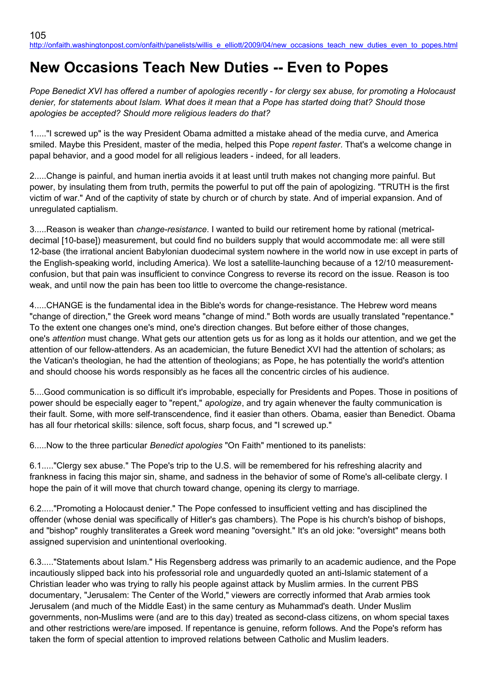# **New Occasions Teach New Duties -- Even to Popes**

*Pope Benedict XVI has offered a number of apologies recently - for clergy sex abuse, for promoting a Holocaust denier, for statements about Islam. What does it mean that a Pope has started doing that? Should those apologies be accepted? Should more religious leaders do that?*

1....."I screwed up" is the way President Obama admitted a mistake ahead of the media curve, and America smiled. Maybe this President, master of the media, helped this Pope *repent faster*. That's a welcome change in papal behavior, and a good model for all religious leaders - indeed, for all leaders.

2.....Change is painful, and human inertia avoids it at least until truth makes not changing more painful. But power, by insulating them from truth, permits the powerful to put off the pain of apologizing. "TRUTH is the first victim of war." And of the captivity of state by church or of church by state. And of imperial expansion. And of unregulated captialism.

3.....Reason is weaker than *change-resistance*. I wanted to build our retirement home by rational (metricaldecimal [10-base]) measurement, but could find no builders supply that would accommodate me: all were still 12-base (the irrational ancient Babylonian duodecimal system nowhere in the world now in use except in parts of the English-speaking world, including America). We lost a satellite-launching because of a 12/10 measurementconfusion, but that pain was insufficient to convince Congress to reverse its record on the issue. Reason is too weak, and until now the pain has been too little to overcome the change-resistance.

4.....CHANGE is the fundamental idea in the Bible's words for change-resistance. The Hebrew word means "change of direction," the Greek word means "change of mind." Both words are usually translated "repentance." To the extent one changes one's mind, one's direction changes. But before either of those changes, one's *attention* must change. What gets our attention gets us for as long as it holds our attention, and we get the attention of our fellow-attenders. As an academician, the future Benedict XVI had the attention of scholars; as the Vatican's theologian, he had the attention of theologians; as Pope, he has potentially the world's attention and should choose his words responsibly as he faces all the concentric circles of his audience.

5....Good communication is so difficult it's improbable, especially for Presidents and Popes. Those in positions of power should be especially eager to "repent," *apologize*, and try again whenever the faulty communication is their fault. Some, with more self-transcendence, find it easier than others. Obama, easier than Benedict. Obama has all four rhetorical skills: silence, soft focus, sharp focus, and "I screwed up."

6.....Now to the three particular *Benedict apologies* "On Faith" mentioned to its panelists:

6.1....."Clergy sex abuse." The Pope's trip to the U.S. will be remembered for his refreshing alacrity and frankness in facing this major sin, shame, and sadness in the behavior of some of Rome's all-celibate clergy. I hope the pain of it will move that church toward change, opening its clergy to marriage.

6.2....."Promoting a Holocaust denier." The Pope confessed to insufficient vetting and has disciplined the offender (whose denial was specifically of Hitler's gas chambers). The Pope is his church's bishop of bishops, and "bishop" roughly transliterates a Greek word meaning "oversight." It's an old joke: "oversight" means both assigned supervision and unintentional overlooking.

6.3....."Statements about Islam." His Regensberg address was primarily to an academic audience, and the Pope incautiously slipped back into his professorial role and unguardedly quoted an anti-Islamic statement of a Christian leader who was trying to rally his people against attack by Muslim armies. In the current PBS documentary, "Jerusalem: The Center of the World," viewers are correctly informed that Arab armies took Jerusalem (and much of the Middle East) in the same century as Muhammad's death. Under Muslim governments, non-Muslims were (and are to this day) treated as second-class citizens, on whom special taxes and other restrictions were/are imposed. If repentance is genuine, reform follows. And the Pope's reform has taken the form of special attention to improved relations between Catholic and Muslim leaders.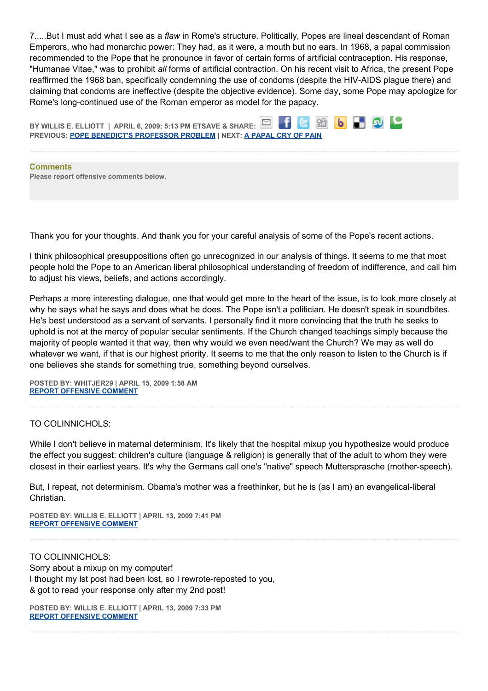7.....But I must add what I see as a *flaw* in Rome's structure. Politically, Popes are lineal descendant of Roman Emperors, who had monarchic power: They had, as it were, a mouth but no ears. In 1968, a papal commission recommended to the Pope that he pronounce in favor of certain forms of artificial contraception. His response, "Humanae Vitae," was to prohibit *all* forms of artificial contraction. On his recent visit to Africa, the present Pope reaffirmed the 1968 ban, specifically condemning the use of condoms (despite the HIV-AIDS plague there) and claiming that condoms are ineffective (despite the objective evidence). Some day, some Pope may apologize for Rome's long-continued use of the Roman emperor as model for the papacy.



**Please report offensive comments below.**

Thank you for your thoughts. And thank you for your careful analysis of some of the Pope's recent actions.

I think philosophical presuppositions often go unrecognized in our analysis of things. It seems to me that most people hold the Pope to an American liberal philosophical understanding of freedom of indifference, and call him to adjust his views, beliefs, and actions accordingly.

Perhaps a more interesting dialogue, one that would get more to the heart of the issue, is to look more closely at why he says what he says and does what he does. The Pope isn't a politician. He doesn't speak in soundbites. He's best understood as a servant of servants. I personally find it more convincing that the truth he seeks to uphold is not at the mercy of popular secular sentiments. If the Church changed teachings simply because the majority of people wanted it that way, then why would we even need/want the Church? We may as well do whatever we want, if that is our highest priority. It seems to me that the only reason to listen to the Church is if one believes she stands for something true, something beyond ourselves.

**POSTED BY: WHITJER29 | APRIL 15, 2009 1:58 AM [REPORT OFFENSIVE COMMENT](mailto:blogs@washingtonpost.com?subject=On%20Faith%20Panelists%20Blog%20%20%7C%20%20whitjer29%20%20%7C%20%20New%20Occasions%20Teach%20New%20Duties%20--%20Even%20to%20Popes%20%20%7C%20%204660308&body=%0D%0D%0D%0D%0D================%0D?__mode=view%26_type=comment%26id=4660308%26blog_id=618)**

## TO COLINNICHOLS:

While I don't believe in maternal determinism, It's likely that the hospital mixup you hypothesize would produce the effect you suggest: children's culture (language & religion) is generally that of the adult to whom they were closest in their earliest years. It's why the Germans call one's "native" speech Muttersprasche (mother-speech).

But, I repeat, not determinism. Obama's mother was a freethinker, but he is (as I am) an evangelical-liberal Christian.

**POSTED BY: WILLIS E. ELLIOTT | APRIL 13, 2009 7:41 PM [REPORT OFFENSIVE COMMENT](mailto:blogs@washingtonpost.com?subject=On%20Faith%20Panelists%20Blog%20%20%7C%20%20Willis%20E.%20Elliott%20%20%7C%20%20New%20Occasions%20Teach%20New%20Duties%20--%20Even%20to%20Popes%20%20%7C%20%204660157&body=%0D%0D%0D%0D%0D================%0D?__mode=view%26_type=comment%26id=4660157%26blog_id=618)**

TO COLINNICHOLS: Sorry about a mixup on my computer! I thought my lst post had been lost, so I rewrote-reposted to you, & got to read your response only after my 2nd post!

**POSTED BY: WILLIS E. ELLIOTT | APRIL 13, 2009 7:33 PM [REPORT OFFENSIVE COMMENT](mailto:blogs@washingtonpost.com?subject=On%20Faith%20Panelists%20Blog%20%20%7C%20%20Willis%20E.%20Elliott%20%20%7C%20%20New%20Occasions%20Teach%20New%20Duties%20--%20Even%20to%20Popes%20%20%7C%20%204660156&body=%0D%0D%0D%0D%0D================%0D?__mode=view%26_type=comment%26id=4660156%26blog_id=618)**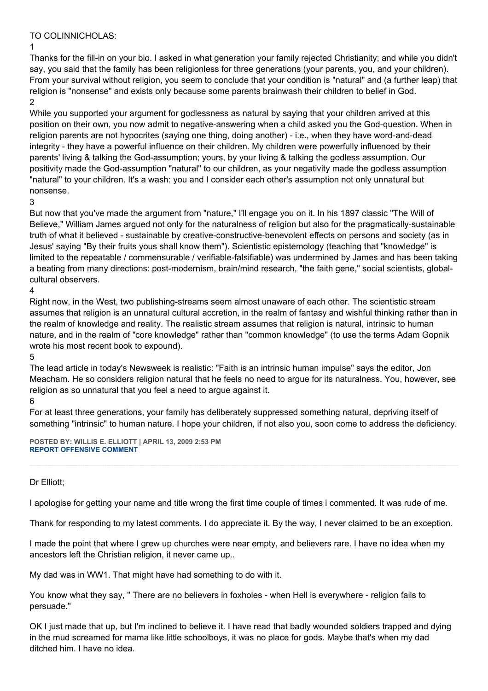# TO COLINNICHOLAS:

1

Thanks for the fill-in on your bio. I asked in what generation your family rejected Christianity; and while you didn't say, you said that the family has been religionless for three generations (your parents, you, and your children). From your survival without religion, you seem to conclude that your condition is "natural" and (a further leap) that religion is "nonsense" and exists only because some parents brainwash their children to belief in God. 2

While you supported your argument for godlessness as natural by saying that your children arrived at this position on their own, you now admit to negative-answering when a child asked you the God-question. When in religion parents are not hypocrites (saying one thing, doing another) - i.e., when they have word-and-dead integrity - they have a powerful influence on their children. My children were powerfully influenced by their parents' living & talking the God-assumption; yours, by your living & talking the godless assumption. Our positivity made the God-assumption "natural" to our children, as your negativity made the godless assumption "natural" to your children. It's a wash: you and I consider each other's assumption not only unnatural but nonsense.

# 3

But now that you've made the argument from "nature," I'll engage you on it. In his 1897 classic "The Will of Believe," William James argued not only for the naturalness of religion but also for the pragmatically-sustainable truth of what it believed - sustainable by creative-constructive-benevolent effects on persons and society (as in Jesus' saying "By their fruits yous shall know them"). Scientistic epistemology (teaching that "knowledge" is limited to the repeatable / commensurable / verifiable-falsifiable) was undermined by James and has been taking a beating from many directions: post-modernism, brain/mind research, "the faith gene," social scientists, globalcultural observers.

# 4

Right now, in the West, two publishing-streams seem almost unaware of each other. The scientistic stream assumes that religion is an unnatural cultural accretion, in the realm of fantasy and wishful thinking rather than in the realm of knowledge and reality. The realistic stream assumes that religion is natural, intrinsic to human nature, and in the realm of "core knowledge" rather than "common knowledge" (to use the terms Adam Gopnik wrote his most recent book to expound).

#### 5

The lead article in today's Newsweek is realistic: "Faith is an intrinsic human impulse" says the editor, Jon Meacham. He so considers religion natural that he feels no need to argue for its naturalness. You, however, see religion as so unnatural that you feel a need to argue against it.

#### 6

For at least three generations, your family has deliberately suppressed something natural, depriving itself of something "intrinsic" to human nature. I hope your children, if not also you, soon come to address the deficiency.

**POSTED BY: WILLIS E. ELLIOTT | APRIL 13, 2009 2:53 PM [REPORT OFFENSIVE COMMENT](mailto:blogs@washingtonpost.com?subject=On%20Faith%20Panelists%20Blog%20%20%7C%20%20Willis%20E.%20Elliott%20%20%7C%20%20New%20Occasions%20Teach%20New%20Duties%20--%20Even%20to%20Popes%20%20%7C%20%204660124&body=%0D%0D%0D%0D%0D================%0D?__mode=view%26_type=comment%26id=4660124%26blog_id=618)**

## Dr Elliott;

I apologise for getting your name and title wrong the first time couple of times i commented. It was rude of me.

Thank for responding to my latest comments. I do appreciate it. By the way, I never claimed to be an exception.

I made the point that where I grew up churches were near empty, and believers rare. I have no idea when my ancestors left the Christian religion, it never came up..

My dad was in WW1. That might have had something to do with it.

You know what they say, " There are no believers in foxholes - when Hell is everywhere - religion fails to persuade."

OK I just made that up, but I'm inclined to believe it. I have read that badly wounded soldiers trapped and dying in the mud screamed for mama like little schoolboys, it was no place for gods. Maybe that's when my dad ditched him. I have no idea.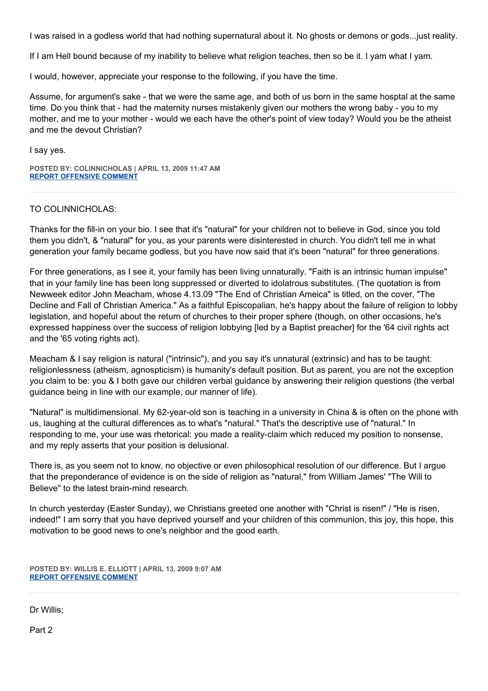I was raised in a godless world that had nothing supernatural about it. No ghosts or demons or gods...just reality.

If I am Hell bound because of my inability to believe what religion teaches, then so be it. I yam what I yam.

I would, however, appreciate your response to the following, if you have the time.

Assume, for argument's sake - that we were the same age, and both of us born in the same hosptal at the same time. Do you think that - had the maternity nurses mistakenly given our mothers the wrong baby - you to my mother, and me to your mother - would we each have the other's point of view today? Would you be the atheist and me the devout Christian?

I say yes.

**POSTED BY: COLINNICHOLAS | APRIL 13, 2009 11:47 AM [REPORT OFFENSIVE COMMENT](mailto:blogs@washingtonpost.com?subject=On%20Faith%20Panelists%20Blog%20%20%7C%20%20colinnicholas%20%20%7C%20%20New%20Occasions%20Teach%20New%20Duties%20--%20Even%20to%20Popes%20%20%7C%20%204660094&body=%0D%0D%0D%0D%0D================%0D?__mode=view%26_type=comment%26id=4660094%26blog_id=618)**

### TO COLINNICHOLAS:

Thanks for the fill-in on your bio. I see that it's "natural" for your children not to believe in God, since you told them you didn't, & "natural" for you, as your parents were disinterested in church. You didn't tell me in what generation your family became godless, but you have now said that it's been "natural" for three generations.

For three generations, as I see it, your family has been living unnaturally. "Faith is an intrinsic human impulse" that in your family line has been long suppressed or diverted to idolatrous substitutes. (The quotation is from Newweek editor John Meacham, whose 4.13.09 "The End of Christian Ameica" is titled, on the cover, "The Decline and Fall of Christian America." As a faithful Episcopalian, he's happy about the failure of religion to lobby legislation, and hopeful about the return of churches to their proper sphere (though, on other occasions, he's expressed happiness over the success of religion lobbying [led by a Baptist preacher] for the '64 civil rights act and the '65 voting rights act).

Meacham & I say religion is natural ("intrinsic"), and you say it's unnatural (extrinsic) and has to be taught: religionlessness (atheism, agnospticism) is humanity's default position. But as parent, you are not the exception you claim to be: you & I both gave our children verbal guidance by answering their religion questions (the verbal guidance being in line with our example, our manner of life).

"Natural" is multidimensional. My 62-year-old son is teaching in a university in China & is often on the phone with us, laughing at the cultural differences as to what's "natural." That's the descriptive use of "natural." In responding to me, your use was rhetorical: you made a reality-claim which reduced my position to nonsense, and my reply asserts that your position is delusional.

There is, as you seem not to know, no objective or even philosophical resolution of our difference. But I argue that the preponderance of evidence is on the side of religion as "natural," from William James' "The Will to Believe" to the latest brain-mind research.

In church yesterday (Easter Sunday), we Christians greeted one another with "Christ is risen!" / "He is risen, indeed!" I am sorry that you have deprived yourself and your children of this communion, this joy, this hope, this motivation to be good news to one's neighbor and the good earth.

**POSTED BY: WILLIS E. ELLIOTT | APRIL 13, 2009 9:07 AM [REPORT OFFENSIVE COMMENT](mailto:blogs@washingtonpost.com?subject=On%20Faith%20Panelists%20Blog%20%20%7C%20%20Willis%20E.%20Elliott%20%20%7C%20%20New%20Occasions%20Teach%20New%20Duties%20--%20Even%20to%20Popes%20%20%7C%20%204660072&body=%0D%0D%0D%0D%0D================%0D?__mode=view%26_type=comment%26id=4660072%26blog_id=618)**

Dr Willis;

Part 2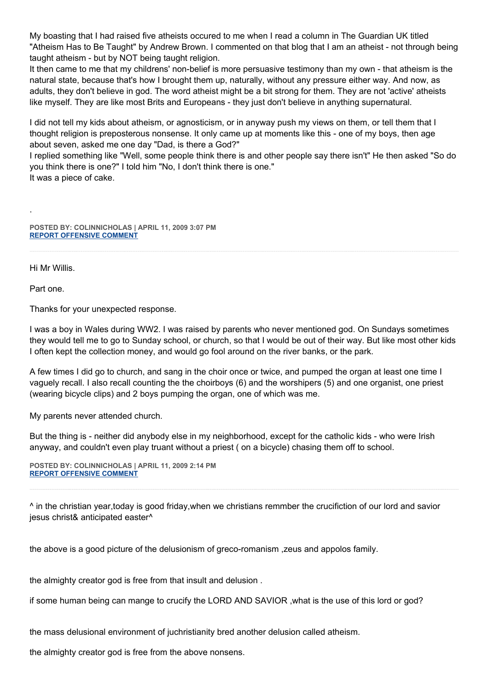My boasting that I had raised five atheists occured to me when I read a column in The Guardian UK titled "Atheism Has to Be Taught" by Andrew Brown. I commented on that blog that I am an atheist - not through being taught atheism - but by NOT being taught religion.

It then came to me that my childrens' non-belief is more persuasive testimony than my own - that atheism is the natural state, because that's how I brought them up, naturally, without any pressure either way. And now, as adults, they don't believe in god. The word atheist might be a bit strong for them. They are not 'active' atheists like myself. They are like most Brits and Europeans - they just don't believe in anything supernatural.

I did not tell my kids about atheism, or agnosticism, or in anyway push my views on them, or tell them that I thought religion is preposterous nonsense. It only came up at moments like this - one of my boys, then age about seven, asked me one day "Dad, is there a God?"

I replied something like "Well, some people think there is and other people say there isn't" He then asked "So do you think there is one?" I told him "No, I don't think there is one."

It was a piece of cake.

**POSTED BY: COLINNICHOLAS | APRIL 11, 2009 3:07 PM [REPORT OFFENSIVE COMMENT](mailto:blogs@washingtonpost.com?subject=On%20Faith%20Panelists%20Blog%20%20%7C%20%20colinnicholas%20%20%7C%20%20New%20Occasions%20Teach%20New%20Duties%20--%20Even%20to%20Popes%20%20%7C%20%204659842&body=%0D%0D%0D%0D%0D================%0D?__mode=view%26_type=comment%26id=4659842%26blog_id=618)**

Hi Mr Willis.

Part one.

.

Thanks for your unexpected response.

I was a boy in Wales during WW2. I was raised by parents who never mentioned god. On Sundays sometimes they would tell me to go to Sunday school, or church, so that I would be out of their way. But like most other kids I often kept the collection money, and would go fool around on the river banks, or the park.

A few times I did go to church, and sang in the choir once or twice, and pumped the organ at least one time I vaguely recall. I also recall counting the the choirboys (6) and the worshipers (5) and one organist, one priest (wearing bicycle clips) and 2 boys pumping the organ, one of which was me.

My parents never attended church.

But the thing is - neither did anybody else in my neighborhood, except for the catholic kids - who were Irish anyway, and couldn't even play truant without a priest ( on a bicycle) chasing them off to school.

**POSTED BY: COLINNICHOLAS | APRIL 11, 2009 2:14 PM [REPORT OFFENSIVE COMMENT](mailto:blogs@washingtonpost.com?subject=On%20Faith%20Panelists%20Blog%20%20%7C%20%20colinnicholas%20%20%7C%20%20New%20Occasions%20Teach%20New%20Duties%20--%20Even%20to%20Popes%20%20%7C%20%204659835&body=%0D%0D%0D%0D%0D================%0D?__mode=view%26_type=comment%26id=4659835%26blog_id=618)**

^ in the christian year,today is good friday,when we christians remmber the crucifiction of our lord and savior jesus christ& anticipated easter^

the above is a good picture of the delusionism of greco-romanism ,zeus and appolos family.

the almighty creator god is free from that insult and delusion .

if some human being can mange to crucify the LORD AND SAVIOR ,what is the use of this lord or god?

the mass delusional environment of juchristianity bred another delusion called atheism.

the almighty creator god is free from the above nonsens.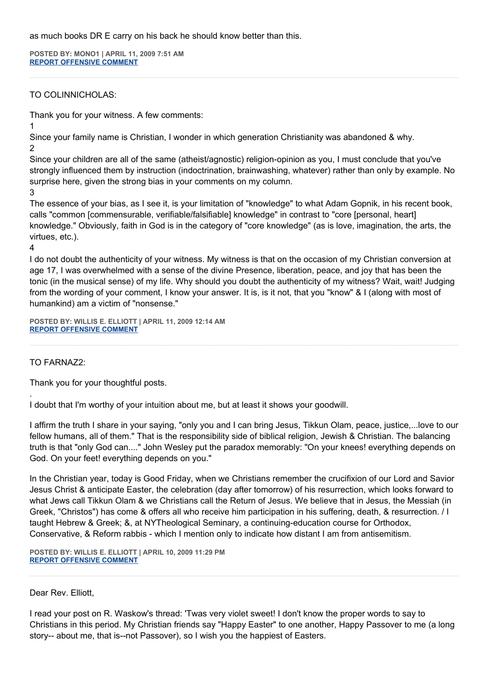as much books DR E carry on his back he should know better than this.

**POSTED BY: MONO1 | APRIL 11, 2009 7:51 AM [REPORT OFFENSIVE COMMENT](mailto:blogs@washingtonpost.com?subject=On%20Faith%20Panelists%20Blog%20%20%7C%20%20mono1%20%20%7C%20%20New%20Occasions%20Teach%20New%20Duties%20--%20Even%20to%20Popes%20%20%7C%20%204659778&body=%0D%0D%0D%0D%0D================%0D?__mode=view%26_type=comment%26id=4659778%26blog_id=618)**

# TO COLINNICHOLAS:

Thank you for your witness. A few comments:

1

Since your family name is Christian, I wonder in which generation Christianity was abandoned & why.

2

Since your children are all of the same (atheist/agnostic) religion-opinion as you, I must conclude that you've strongly influenced them by instruction (indoctrination, brainwashing, whatever) rather than only by example. No surprise here, given the strong bias in your comments on my column.

3

The essence of your bias, as I see it, is your limitation of "knowledge" to what Adam Gopnik, in his recent book, calls "common [commensurable, verifiable/falsifiable] knowledge" in contrast to "core [personal, heart] knowledge." Obviously, faith in God is in the category of "core knowledge" (as is love, imagination, the arts, the virtues, etc.).

4

.

I do not doubt the authenticity of your witness. My witness is that on the occasion of my Christian conversion at age 17, I was overwhelmed with a sense of the divine Presence, liberation, peace, and joy that has been the tonic (in the musical sense) of my life. Why should you doubt the authenticity of my witness? Wait, wait! Judging from the wording of your comment, I know your answer. It is, is it not, that you "know" & I (along with most of humankind) am a victim of "nonsense."

**POSTED BY: WILLIS E. ELLIOTT | APRIL 11, 2009 12:14 AM [REPORT OFFENSIVE COMMENT](mailto:blogs@washingtonpost.com?subject=On%20Faith%20Panelists%20Blog%20%20%7C%20%20Willis%20E.%20Elliott%20%20%7C%20%20New%20Occasions%20Teach%20New%20Duties%20--%20Even%20to%20Popes%20%20%7C%20%204659744&body=%0D%0D%0D%0D%0D================%0D?__mode=view%26_type=comment%26id=4659744%26blog_id=618)**

# TO FARNAZ2:

Thank you for your thoughtful posts.

I doubt that I'm worthy of your intuition about me, but at least it shows your goodwill.

I affirm the truth I share in your saying, "only you and I can bring Jesus, Tikkun Olam, peace, justice,...love to our fellow humans, all of them." That is the responsibility side of biblical religion, Jewish & Christian. The balancing truth is that "only God can...." John Wesley put the paradox memorably: "On your knees! everything depends on God. On your feet! everything depends on you."

In the Christian year, today is Good Friday, when we Christians remember the crucifixion of our Lord and Savior Jesus Christ & anticipate Easter, the celebration (day after tomorrow) of his resurrection, which looks forward to what Jews call Tikkun Olam & we Christians call the Return of Jesus. We believe that in Jesus, the Messiah (in Greek, "Christos") has come & offers all who receive him participation in his suffering, death, & resurrection. / I taught Hebrew & Greek; &, at NYTheological Seminary, a continuing-education course for Orthodox, Conservative, & Reform rabbis - which I mention only to indicate how distant I am from antisemitism.

**POSTED BY: WILLIS E. ELLIOTT | APRIL 10, 2009 11:29 PM [REPORT OFFENSIVE COMMENT](mailto:blogs@washingtonpost.com?subject=On%20Faith%20Panelists%20Blog%20%20%7C%20%20Willis%20E.%20Elliott%20%20%7C%20%20New%20Occasions%20Teach%20New%20Duties%20--%20Even%20to%20Popes%20%20%7C%20%204659731&body=%0D%0D%0D%0D%0D================%0D?__mode=view%26_type=comment%26id=4659731%26blog_id=618)**

## Dear Rev. Elliott,

I read your post on R. Waskow's thread: 'Twas very violet sweet! I don't know the proper words to say to Christians in this period. My Christian friends say "Happy Easter" to one another, Happy Passover to me (a long story-- about me, that is--not Passover), so I wish you the happiest of Easters.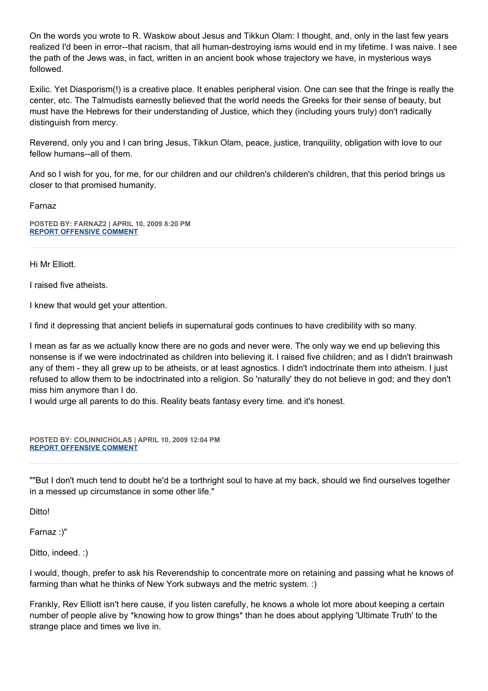On the words you wrote to R. Waskow about Jesus and Tikkun Olam: I thought, and, only in the last few years realized I'd been in error--that racism, that all human-destroying isms would end in my lifetime. I was naive. I see the path of the Jews was, in fact, written in an ancient book whose trajectory we have, in mysterious ways followed.

Exilic. Yet Diasporism(!) is a creative place. It enables peripheral vision. One can see that the fringe is really the center, etc. The Talmudists earnestly believed that the world needs the Greeks for their sense of beauty, but must have the Hebrews for their understanding of Justice, which they (including yours truly) don't radically distinguish from mercy.

Reverend, only you and I can bring Jesus, Tikkun Olam, peace, justice, tranquility, obligation with love to our fellow humans--all of them.

And so I wish for you, for me, for our children and our children's childeren's children, that this period brings us closer to that promised humanity.

Farnaz

**POSTED BY: FARNAZ2 | APRIL 10, 2009 8:20 PM [REPORT OFFENSIVE COMMENT](mailto:blogs@washingtonpost.com?subject=On%20Faith%20Panelists%20Blog%20%20%7C%20%20Farnaz2%20%20%7C%20%20New%20Occasions%20Teach%20New%20Duties%20--%20Even%20to%20Popes%20%20%7C%20%204659688&body=%0D%0D%0D%0D%0D================%0D?__mode=view%26_type=comment%26id=4659688%26blog_id=618)**

Hi Mr Elliott.

I raised five atheists.

I knew that would get your attention.

I find it depressing that ancient beliefs in supernatural gods continues to have credibility with so many.

I mean as far as we actually know there are no gods and never were. The only way we end up believing this nonsense is if we were indoctrinated as children into believing it. I raised five children; and as I didn't brainwash any of them - they all grew up to be atheists, or at least agnostics. I didn't indoctrinate them into atheism. I just refused to allow them to be indoctrinated into a religion. So 'naturally' they do not believe in god; and they don't miss him anymore than I do.

I would urge all parents to do this. Reality beats fantasy every time. and it's honest.

**POSTED BY: COLINNICHOLAS | APRIL 10, 2009 12:04 PM [REPORT OFFENSIVE COMMENT](mailto:blogs@washingtonpost.com?subject=On%20Faith%20Panelists%20Blog%20%20%7C%20%20colinnicholas%20%20%7C%20%20New%20Occasions%20Teach%20New%20Duties%20--%20Even%20to%20Popes%20%20%7C%20%204659605&body=%0D%0D%0D%0D%0D================%0D?__mode=view%26_type=comment%26id=4659605%26blog_id=618)**

""But I don't much tend to doubt he'd be a torthright soul to have at my back, should we find ourselves together in a messed up circumstance in some other life."

**Ditto!** 

Farnaz :)"

Ditto, indeed. :)

I would, though, prefer to ask his Reverendship to concentrate more on retaining and passing what he knows of farming than what he thinks of New York subways and the metric system. :)

Frankly, Rev Elliott isn't here cause, if you listen carefully, he knows a whole lot more about keeping a certain number of people alive by \*knowing how to grow things\* than he does about applying 'Ultimate Truth' to the strange place and times we live in.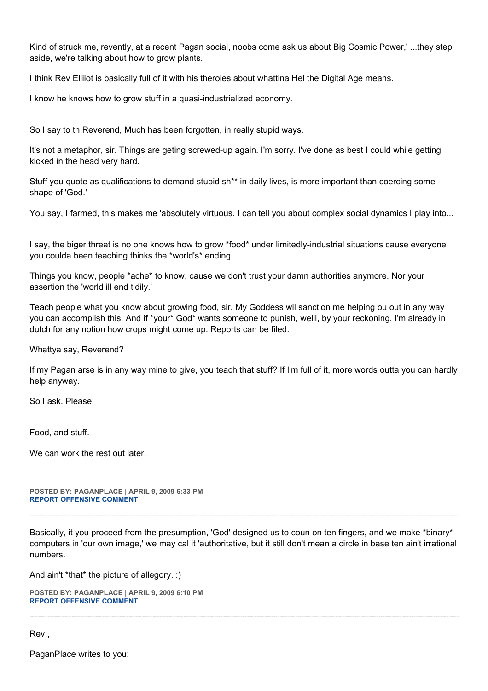Kind of struck me, revently, at a recent Pagan social, noobs come ask us about Big Cosmic Power,' ...they step aside, we're talking about how to grow plants.

I think Rev Elliiot is basically full of it with his theroies about whattina Hel the Digital Age means.

I know he knows how to grow stuff in a quasi-industrialized economy.

So I say to th Reverend, Much has been forgotten, in really stupid ways.

It's not a metaphor, sir. Things are geting screwed-up again. I'm sorry. I've done as best I could while getting kicked in the head very hard.

Stuff you quote as qualifications to demand stupid sh\*\* in daily lives, is more important than coercing some shape of 'God.'

You say, I farmed, this makes me 'absolutely virtuous. I can tell you about complex social dynamics I play into...

I say, the biger threat is no one knows how to grow \*food\* under limitedly-industrial situations cause everyone you coulda been teaching thinks the \*world's\* ending.

Things you know, people \*ache\* to know, cause we don't trust your damn authorities anymore. Nor your assertion the 'world ill end tidily.'

Teach people what you know about growing food, sir. My Goddess wil sanction me helping ou out in any way you can accomplish this. And if \*your\* God\* wants someone to punish, welll, by your reckoning, I'm already in dutch for any notion how crops might come up. Reports can be filed.

Whattya say, Reverend?

If my Pagan arse is in any way mine to give, you teach that stuff? If I'm full of it, more words outta you can hardly help anyway.

So I ask. Please.

Food, and stuff.

We can work the rest out later.

**POSTED BY: PAGANPLACE | APRIL 9, 2009 6:33 PM [REPORT OFFENSIVE COMMENT](mailto:blogs@washingtonpost.com?subject=On%20Faith%20Panelists%20Blog%20%20%7C%20%20Paganplace%20%20%7C%20%20New%20Occasions%20Teach%20New%20Duties%20--%20Even%20to%20Popes%20%20%7C%20%204659448&body=%0D%0D%0D%0D%0D================%0D?__mode=view%26_type=comment%26id=4659448%26blog_id=618)**

Basically, it you proceed from the presumption, 'God' designed us to coun on ten fingers, and we make \*binary\* computers in 'our own image,' we may cal it 'authoritative, but it still don't mean a circle in base ten ain't irrational numbers.

And ain't \*that\* the picture of allegory. :)

**POSTED BY: PAGANPLACE | APRIL 9, 2009 6:10 PM [REPORT OFFENSIVE COMMENT](mailto:blogs@washingtonpost.com?subject=On%20Faith%20Panelists%20Blog%20%20%7C%20%20Paganplace%20%20%7C%20%20New%20Occasions%20Teach%20New%20Duties%20--%20Even%20to%20Popes%20%20%7C%20%204659442&body=%0D%0D%0D%0D%0D================%0D?__mode=view%26_type=comment%26id=4659442%26blog_id=618)**

Rev.,

PaganPlace writes to you: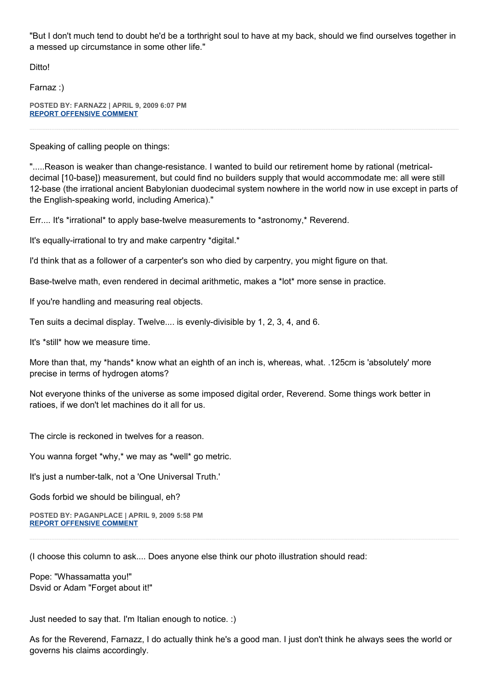"But I don't much tend to doubt he'd be a torthright soul to have at my back, should we find ourselves together in a messed up circumstance in some other life."

Ditto!

Farnaz :)

**POSTED BY: FARNAZ2 | APRIL 9, 2009 6:07 PM [REPORT OFFENSIVE COMMENT](mailto:blogs@washingtonpost.com?subject=On%20Faith%20Panelists%20Blog%20%20%7C%20%20Farnaz2%20%20%7C%20%20New%20Occasions%20Teach%20New%20Duties%20--%20Even%20to%20Popes%20%20%7C%20%204659439&body=%0D%0D%0D%0D%0D================%0D?__mode=view%26_type=comment%26id=4659439%26blog_id=618)**

Speaking of calling people on things:

".....Reason is weaker than change-resistance. I wanted to build our retirement home by rational (metricaldecimal [10-base]) measurement, but could find no builders supply that would accommodate me: all were still 12-base (the irrational ancient Babylonian duodecimal system nowhere in the world now in use except in parts of the English-speaking world, including America)."

Err.... It's \*irrational\* to apply base-twelve measurements to \*astronomy,\* Reverend.

It's equally-irrational to try and make carpentry \*digital.\*

I'd think that as a follower of a carpenter's son who died by carpentry, you might figure on that.

Base-twelve math, even rendered in decimal arithmetic, makes a \*lot\* more sense in practice.

If you're handling and measuring real objects.

Ten suits a decimal display. Twelve.... is evenly-divisible by 1, 2, 3, 4, and 6.

It's \*still\* how we measure time.

More than that, my \*hands\* know what an eighth of an inch is, whereas, what. .125cm is 'absolutely' more precise in terms of hydrogen atoms?

Not everyone thinks of the universe as some imposed digital order, Reverend. Some things work better in ratioes, if we don't let machines do it all for us.

The circle is reckoned in twelves for a reason.

You wanna forget \*why,\* we may as \*well\* go metric.

It's just a number-talk, not a 'One Universal Truth.'

Gods forbid we should be bilingual, eh?

**POSTED BY: PAGANPLACE | APRIL 9, 2009 5:58 PM [REPORT OFFENSIVE COMMENT](mailto:blogs@washingtonpost.com?subject=On%20Faith%20Panelists%20Blog%20%20%7C%20%20Paganplace%20%20%7C%20%20New%20Occasions%20Teach%20New%20Duties%20--%20Even%20to%20Popes%20%20%7C%20%204659437&body=%0D%0D%0D%0D%0D================%0D?__mode=view%26_type=comment%26id=4659437%26blog_id=618)**

(I choose this column to ask.... Does anyone else think our photo illustration should read:

Pope: "Whassamatta you!" Dsvid or Adam "Forget about it!"

Just needed to say that. I'm Italian enough to notice. :)

As for the Reverend, Farnazz, I do actually think he's a good man. I just don't think he always sees the world or governs his claims accordingly.